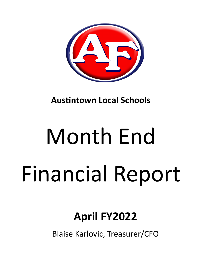

**Austintown Local Schools** 

# Month End Financial Report

# **April FY2022**

Blaise Karlovic, Treasurer/CFO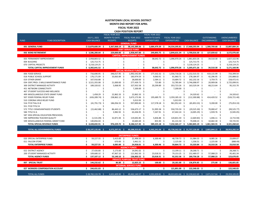#### **AUSTINTOWN LOCAL SCHOOL DISTRICT MONTH END REPORT FOR APRIL FISCAL YEAR 2022 CASH POSITION REPORT**

|             |                                         |    |                     |    | FISCAL YEAR 2022     |     |                                   |      | FISCAL YEAR 2022                 |        |                                                   |     |                                 |     |                                                 |     |                     |
|-------------|-----------------------------------------|----|---------------------|----|----------------------|-----|-----------------------------------|------|----------------------------------|--------|---------------------------------------------------|-----|---------------------------------|-----|-------------------------------------------------|-----|---------------------|
|             |                                         |    | <b>JULY 1, 2021</b> |    | <b>MONTH TO DATE</b> |     | FISCAL YEAR 2022                  |      | <b>MONTH TO DATE</b>             |        | FISCAL YEAR 2022                                  |     |                                 |     | <b>OUTSTANDING</b>                              |     | <b>UNENCUMBERED</b> |
| <b>FUND</b> | <b>FUND DESCRIPTION</b>                 |    | <b>CASH BALANCE</b> |    | <b>RECEIPTS</b>      |     | <b>RECEIPTS</b>                   |      | <b>EXPENDITURES</b>              |        | <b>EXPENDITURES</b>                               |     | <b>CASH BALANCE</b>             |     | <b>ENCUMBRANCES</b>                             |     | <b>CASH BALANCE</b> |
|             |                                         |    |                     |    |                      |     | <b>GENERAL FUND</b>               |      |                                  |        |                                                   |     |                                 |     |                                                 |     |                     |
|             | 001 GENERAL FUND                        |    | $$13,879,600.39$ \$ |    | 3,367,068.19 \$      |     |                                   |      | 38,143,389.36 \$ 3,684,479.39 \$ |        | 34,554,395.81 \$ 17,468,593.94 \$ 1,580,709.68 \$ |     |                                 |     |                                                 |     | 15,887,884.26       |
|             |                                         |    |                     |    |                      |     | <b>DEBT SERVICE FUND</b>          |      |                                  |        |                                                   |     |                                 |     |                                                 |     |                     |
|             | 002 BOND RETIREMENT                     |    | \$3,586,200.64\$    |    | 229,000.00 \$        |     | 2,958,447.00 \$                   |      | 249,893.75 \$                    |        |                                                   |     | 2,844,631.34 \$ 3,700,016.30 \$ |     | 127,039.62 \$                                   |     | 3,572,976.68        |
|             |                                         |    |                     |    |                      |     | <b>CAPITAL IMPROVEMENT FUNDS</b>  |      |                                  |        |                                                   |     |                                 |     |                                                 |     |                     |
|             | 003 PERMANENT IMPROVEMENT               |    | \$2,958,803.52\$    |    |                      | \$  |                                   | \$   | 38,642.72 \$                     |        | 1,096,970.26 \$                                   |     | 1,861,833.26 \$                 |     | 34,510.30 \$                                    |     | 1,827,322.96        |
|             | 004 BUILDING                            | Ŝ. | 125,713.75 \$       |    |                      | Ś   |                                   | Ŝ    |                                  | Ś      |                                                   | Ś   | 125,713.75 \$                   |     |                                                 | Ŝ.  | 125,713.75          |
|             | 070 CAPITAL PROJECTS                    |    | \$3,218,124.25      |    |                      |     |                                   |      |                                  |        |                                                   | \$  | 3,218,124.25 \$                 |     |                                                 | Ŝ   | 3,218,124.25        |
|             | TOTAL CAPITAL IMPROVEMENT FUNDS         |    | \$6,302,641.52\$    |    |                      |     |                                   |      | 38,642.72 \$                     |        |                                                   |     | 1,096,970.26 \$ 5,205,671.26 \$ |     | 34,510.30 \$                                    |     | 5,171,160.96        |
|             |                                         |    |                     |    |                      |     | <b>SPECIAL REVENUE FUNDS</b>      |      |                                  |        |                                                   |     |                                 |     |                                                 |     |                     |
|             | 006 FOOD SERVICE                        | Ŝ. | 716,690.95 \$       |    | 346,017.95 \$        |     | 1,992,542.84 \$                   |      | 177,332.32 \$                    |        | 1,556,718.26 \$                                   |     | 1,152,515.53 \$                 |     | 419,115.99 \$                                   |     | 733,399.54          |
|             | 018 PUBLIC SCHOOL SUPPORT               |    | 176,171.09 \$       |    | 33,063.84 \$         |     | 183,974.59 \$                     |      | 9,060.91 \$                      |        | 81,960.71 \$                                      |     | 278,184.97 \$                   |     | 42,296.95 \$                                    |     | 235,888.02          |
|             | 019 OTHER GRANT                         |    | 167,916.88 \$       |    |                      | S.  | 28,000.00 \$                      |      | 2,584.11 \$                      |        | 33,684.72 \$                                      |     | 162,232.16 \$                   |     | 3,759.75 \$                                     |     | 158,472.41          |
|             | 034 OSFC PROJ-.5 MILLS MAINTENANCE FUND |    | 3,521,355.08 \$     |    | 21,000.00 \$         |     | 277,439.73 \$                     |      | 723.80 \$                        |        | 52,785.84 \$                                      |     | 3,746,008.97 \$                 |     | 20,909.06 \$                                    |     | 3,725,099.91        |
|             | 300 DISTRICT MANAGED ACTIVITY           |    | 189,320.02 \$       |    | 5,068.95 \$          |     | 327,932.58 \$                     |      | 20,299.89 \$                     |        | 353,723.26 \$                                     |     | 163,529.34 \$                   |     | 68,213.64 \$                                    |     | 95,315.70           |
|             | <b>451 NETWORK CONNECTIVITY</b>         |    |                     |    |                      | -Ś  | 7,200.00 \$                       |      |                                  | -Ś     | 7,200.00 \$                                       |     |                                 | \$  |                                                 | Ŝ.  |                     |
|             | 467 STUDENT SUCCESS AND WELLNESS        |    |                     | Ś  |                      | -Ś  |                                   | Ŝ.   |                                  | -Ś     |                                                   | Ŝ.  |                                 | Ŝ   |                                                 | Ŝ.  |                     |
|             | 499 MISCELLANEOUS STATE GRANT FUND      |    | 1,458.29 \$         |    | 22,862.33 \$         |     | 22,862.33 \$                      |      |                                  |        |                                                   |     | 24,320.62 \$                    |     |                                                 |     | 24,320.62           |
|             | 507 ESSER FEDERAL RELIEF FUND           |    | $(426, 289.74)$ \$  |    | 238,862.12 \$        |     | 3,673,173.96                      | - \$ | 195,689.70                       | -S     | 3,359,185.10                                      | -S  | $(112,300.88)$ \$               |     | 414,420.52                                      | -S  | (526, 721.40)       |
|             | 510 CORONA VIRUS RELIEF FUND            |    |                     |    |                      | -\$ | $5,013.93$ \$                     |      |                                  | -Ś     | $5,013.93$ \$                                     |     |                                 | -\$ |                                                 |     |                     |
|             | 516 FY19 Title VI-B                     |    | $(41,791.73)$ \$    |    | 186,056.55 \$        |     | 937,890.83 \$                     |      | 117,578.18                       | -\$    | 961,952.43 \$                                     |     | $(65,853.33)$ \$                |     | 9,200.00                                        | -Ś  | (75,053.33)         |
|             | 551 FY20 TITLE III                      |    |                     | Ŝ. |                      | S.  |                                   | -\$  |                                  | -Ś     |                                                   | - Ś |                                 | - Ś |                                                 |     |                     |
|             | 572 TITLE I DISADVANTAGED STUDENTS      |    | $(15, 462.88)$ \$   |    | 86,443.12 \$         |     | 536,673.17 \$                     |      | 51,995.58 \$                     |        | 550,735.59 \$                                     |     | $(29,525.30)$ \$                |     | 70,000.47                                       | -Ś  | (99, 525.77)        |
|             | 584 TITLE IV-A                          |    |                     | .S | 3,982.92 \$          |     | 63,436.95 \$                      |      | 7,267.91 \$                      |        | 67,442.24 \$                                      |     | $(4,005.29)$ \$                 |     | 1,939.76 \$                                     |     | (5,945.05)          |
|             | 587 IDEA SPECIAL EDUCATION PRESCHOOL    |    |                     | \$ |                      | \$  |                                   | \$   |                                  | Ŝ.     |                                                   | -\$ | - \$                            |     | $\sim$                                          | -\$ |                     |
|             | 590 IMPROVING TEACHER QUALITY           |    | $(1,531.09)$ \$     |    | 32,871.94 \$         |     | 119,692.85 \$                     |      | 5,836.88 \$                      |        | 120,831.59 \$                                     |     | $(2,669.83)$ \$                 |     | $1,046.11$ \$                                   |     | (3,715.94)          |
|             | 599 MISCELLANEOUS FEDERAL GRANT FUND    |    | 140,856.04 \$       |    |                      | -Ś  | 10,683.69 \$                      |      | 855.90 \$                        |        | 81,131.50 \$                                      |     | 70,408.23 \$                    |     | 10,682.30 \$                                    |     | 59,725.93           |
|             | TOTAL SPECIAL REVENUE FUNDS             |    | $$4,428,692.91$ \$  |    | 976,229.72 \$        |     | 8,186,517.45 \$                   |      | 589,225.18                       | - \$   | 7,232,365.17 \$                                   |     | 5,382,845.19 \$                 |     | 1,061,584.55 \$                                 |     | 4,321,260.64        |
|             |                                         |    |                     |    |                      |     |                                   |      |                                  |        |                                                   |     |                                 |     |                                                 |     |                     |
|             | TOTAL ALL GOVERNMENTAL FUNDS            |    | $$28,197,135.46$ \$ |    | 4,572,297.91 \$      |     | 49,288,353.81 \$                  |      | 4,562,241.04 \$                  |        |                                                   |     |                                 |     | 45,728,362.58 \$31,757,126.69 \$2,803,844.15 \$ |     | 28.953.282.54       |
|             |                                         |    |                     |    |                      |     |                                   |      |                                  |        |                                                   |     |                                 |     |                                                 |     |                     |
|             |                                         |    |                     |    |                      |     | <b>ENTERPRISE FUNDS</b>           |      |                                  |        |                                                   |     |                                 |     |                                                 |     |                     |
|             | 020 SPECIAL ENTERPRISE FUND             | Ŝ  | 59,227.55 \$        |    | 5,415.00 \$          |     | 21,496.50 \$                      |      | $6,300.46$ \$                    |        | 48,739.72 \$                                      |     | 31,984.33 \$                    |     | 8,085.26 \$                                     |     | 23,899.07           |
|             | 011 FALCON STORE                        |    |                     | Ŝ. | 670.00 \$            |     | $3,461.51$ \$                     |      |                                  | -Ś     | $2,125.00$ \$                                     |     | $1,336.51$ \$                   |     | $2,225.00$ \$                                   |     | (888.49)            |
|             | <b>TOTAL ENTERPRISE FUNDS</b>           | Ŝ  | 59,227.55 \$        |    | $6,085.00$ \$        |     | 24,958.01 \$                      |      | $6,300.46$ \$                    |        | 50,864.72 \$                                      |     | 33,320.84 \$                    |     | 10,310.26 \$                                    |     | 23,010.58           |
|             |                                         |    |                     |    |                      |     | <b>AGENCY FUNDS</b>               |      |                                  |        |                                                   |     |                                 |     |                                                 |     |                     |
|             | 022 DISTRICT AGENCY                     | \$ | 27,426.80 \$        |    | $5,173.00$ \$        |     | 14,041.02 \$                      |      | $\sim$                           | $\sim$ | 13,199.11 \$                                      |     | 28,268.71 \$                    |     | $-5$                                            |     | 28,268.71           |
|             | 200 STUDENT MANAGED ACTIVITY            | Ŝ  | 109,680.32 \$       |    | 47,967.10 \$         |     | 121,962.50 \$                     |      | 23,018.31 \$                     |        | 79,153.25 \$                                      |     | 152,489.57 \$                   |     | 57,088.23 \$                                    |     | 95,401.34           |
|             | <b>TOTAL AGENCY FUNDS</b>               | \$ | 137,107.12 \$       |    | 53,140.10 \$         |     | 136,003.52 \$                     |      | 23,018.31 \$                     |        | $92,352.36$ \$                                    |     | 180,758.28 \$                   |     | 57,088.23 \$                                    |     | 123,670.05          |
|             |                                         |    |                     |    |                      |     | <b>PRIVATE PURPOSE TRUST FUND</b> |      |                                  |        |                                                   |     |                                 |     |                                                 |     |                     |
|             | 007 SPECIAL TRUST                       |    | \$144,232.62\$      |    | $86.89\frac{2}{3}$   |     | 12,825.23 \$                      |      | $100.00$ \$                      |        | 20,181.00 \$                                      |     | 136,876.85 \$                   |     | 275.00 \$                                       |     | 136,601.85          |
|             |                                         |    |                     |    |                      |     | <b>INTERNAL SERVICE FUND</b>      |      |                                  |        |                                                   |     |                                 |     |                                                 |     |                     |
|             | 027 WORKERS COMPENSATION ACCOUNT        |    | \$244,431.03\$      |    | $\sim 10$            | Ś.  | $-5$                              |      | <b>Contract Contract</b>         | \$     | 121,891.00 \$                                     |     | 122,540.03 \$                   |     | $\sim$ 5                                        |     | 122,540.03          |
|             |                                         |    |                     |    |                      |     |                                   |      |                                  |        |                                                   |     |                                 |     |                                                 |     |                     |
|             | <b>TOTAL ALL FUNDS</b>                  |    | $$28,782,133.78$ \$ |    | $4,631,609.90$ \$    |     | 49,462,140.57 \$                  |      | 4,591,659.81 \$                  |        |                                                   |     |                                 |     | 46,013,651.66 \$32,230,622.69 \$2,871,517.64 \$ |     | 29,359,105.05       |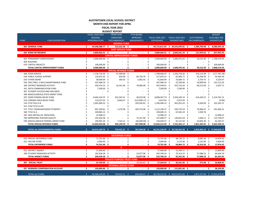#### **AUSTINTOWN LOCAL SCHOOL DISTRICT**

**MONTH END REPORT FOR APRIL**

**FISCAL YEAR 2022**

|                |                                         |     |                          |      | <b>BUDGET REPORT</b>              |                               |      |                   |     |                                   |      |                               |      |                               |
|----------------|-----------------------------------------|-----|--------------------------|------|-----------------------------------|-------------------------------|------|-------------------|-----|-----------------------------------|------|-------------------------------|------|-------------------------------|
|                |                                         |     | FISCAL YEAR 2022         |      | <b>PRIOR YEAR</b>                 | <b>FYTD BOARD</b>             |      |                   |     |                                   |      |                               |      | <b>BUDGET</b>                 |
|                |                                         |     | <b>ORIGINAL</b>          |      | <b>CARRYOVER</b>                  | <b>APPROVED</b>               |      | FISCAL YEAR 2022  |     | FISCAL YEAR 2022                  |      | <b>OUTSTANDING</b>            |      | <b>AVAILABLE FOR</b>          |
| <b>FUND</b>    | <b>FUND DESCRIPTION</b>                 |     | <b>APPROPRIATIONS</b>    |      | <b>ENCUMBRANCES</b>               | <b>AMENDMENTS</b>             |      | <b>EXPENDABLE</b> |     | <b>EXPENDITURES</b>               |      | <b>ENCUMBRANCES</b>           |      | <b>EXPENDITURE</b>            |
|                |                                         |     |                          |      | <b>GENERAL FUND</b>               |                               |      |                   |     |                                   |      |                               |      |                               |
|                | 001 GENERAL FUND                        | \$  | 44,500,388.77 \$         |      | 215,222.28 \$                     | $-5$                          |      |                   |     | 44,715,611.05 \$ 34,554,395.81 \$ |      | 1,580,709.68 \$               |      | 8,580,505.56                  |
|                |                                         |     |                          |      | <b>DEBT SERVICE FUND</b>          |                               |      |                   |     |                                   |      |                               |      |                               |
|                | 002 BOND RETIREMENT                     | \$  | 3,809,666.91 \$          |      | -\$<br>$\Delta \sim 100$          |                               | $-5$ |                   |     | 3,809,666.91 \$ 2,844,631.34 \$   |      | 127,039.62 \$                 |      | 837,995.95                    |
|                |                                         |     |                          |      | <b>CAPITAL IMPROVEMENT FUNDS</b>  |                               |      |                   |     |                                   |      |                               |      |                               |
|                | 003 PERMANENT IMPROVEMENT               | Ś.  | 2,900,000.00 \$          |      |                                   | Ś<br>$\omega$                 | \$   | 2,900,000.00 \$   |     | 1,096,970.26                      | - Ś  | 34,510.30                     | -\$  | 1,768,519.44                  |
| 004 BUILDING   |                                         |     |                          | \$   |                                   |                               | \$   |                   | Ŝ   |                                   |      |                               | \$   |                               |
|                | 070 CAPITAL PROJECTS                    |     | 100,000.00               | -\$  |                                   |                               | Ś    | 100,000.00        | - Ś |                                   |      |                               | \$   | 100,000.00                    |
|                | TOTAL CAPITAL IMPROVEMENT FUNDS         |     | 3,000,000.00 \$          |      |                                   |                               | \$.  | 3,000,000.00 \$   |     | 1,096,970.26 \$                   |      | 34,510.30 \$                  |      | 1,868,519.44                  |
|                |                                         |     |                          |      | <b>SPECIAL REVENUE FUNDS</b>      |                               |      |                   |     |                                   |      |                               |      |                               |
|                | 006 FOOD SERVICE                        | Ś.  | 1,750,718.39 \$          |      | 47,348.58 \$                      | $\sim$                        | \$   | 1,798,066.97 \$   |     | 1,556,718.26 \$                   |      | 419,115.99 \$                 |      | (177, 767.28)                 |
|                | 018 PUBLIC SCHOOL SUPPORT               |     | 132,052.45 \$            |      | 834.00 \$                         | 84,756.70                     | -Ś   | 217,643.15 \$     |     | 81,960.71 \$                      |      | 42,296.95 \$                  |      | 93,385.49                     |
|                | 019 OTHER GRANT                         |     |                          |      | 583.02 \$                         | 3,081.92 \$                   |      |                   |     |                                   |      |                               |      |                               |
|                | 034 OSFC PROJ-.5 MILLS MAINTENANCE FUND |     | 38,000.00 \$             |      | $\blacksquare$                    | Ŝ<br>$\overline{\phantom{a}}$ | Ś    | 41,664.94 \$      |     | 33,684.72 \$<br>52,785.84         |      | 3,759.75 \$                   |      | 4,220.47                      |
|                |                                         |     | 297,408.19 \$            |      |                                   |                               |      | 297,408.19 \$     |     |                                   | - \$ | 20,909.06                     | -\$  | 223,713.29                    |
|                | 300 DISTRICT MANAGED ACTIVITY           |     | 330,743.15 \$            |      | 16,101.46 \$                      | 78,600.00                     | Ŝ    | 425,444.61 \$     |     | 353,723.26                        | - S  | 68,213.64                     | -Ś   | 3,507.71                      |
|                | 451 DATA COMMUNICATION FUND             |     | 7,200.00 \$              |      |                                   |                               |      | 7,200.00          | -S  | 7,200.00                          | S    |                               |      |                               |
|                | 467 STUDENT SUCCESS AND WELLNESS        |     | $\overline{\phantom{a}}$ | \$   |                                   |                               |      |                   | Ś   |                                   | S    |                               |      |                               |
|                | 499 MISCELLANEOUS STATE GRANT FUND      |     |                          |      |                                   |                               | Ś    |                   |     |                                   | Ś    |                               |      |                               |
|                | 507 ESSER FEDERAL RELIEF FUND           |     | 8,446,104.25             | - \$ | 422,243.51 \$                     | 30,019.98                     | -\$  | 8,898,367.74      | Ŝ   | 3,359,185.10                      | Ś    | 414,420.52                    | .S   | 5,124,762.12                  |
|                | 510 CORONA VIRUS RELIEF FUND            |     | 119,337.43               | - \$ | $9,666.67$ \$                     | $(123,990.17)$ \$             |      | 5,013.93          | -\$ | 5,013.93                          | - \$ |                               | Ś    | (0.00)                        |
|                | 516 FY19 Title VI-B                     |     | 1,092,900.53             | - \$ |                                   | 203,595.62 \$<br>\$.          |      | 1,296,496.15 \$   |     | 961,952.43                        | -\$  | 9,200.00                      | -Ś   | 325,343.72                    |
|                | 551 FY20 TITLE III LEP                  |     |                          | Ŝ    |                                   | Ś                             | \$   |                   | Ś   |                                   | Ś    |                               |      |                               |
|                | 572 TITLE I DISADVANTAGED STUDENTS      |     | 907,190.81 \$            |      | 1,279.58<br>-\$                   | 303,725.98                    | -\$  | 1,212,196.37      | -\$ | 550,735.59                        | -\$  | 70,000.47 \$                  |      | 591,460.31                    |
| 584 TITLE IV-A |                                         |     | 109,085.15 \$            |      |                                   |                               | Ś    | 109,085.15 \$     |     | 67,442.24                         | -\$  | 1,939.76                      |      |                               |
|                | 587 IDEA SPECIAL ED. PRESCHOOL          |     | 15,998.15                |      |                                   |                               | Ś    | 15,998.15 \$      |     |                                   | \$   | $\mathcal{L}^{\mathcal{L}}$   | \$   | 15,998.15                     |
|                | 590 IMPROVING TEACHER QUALITY           |     | 165,350.38 \$            |      |                                   | 72,257.99                     | - \$ | 237,608.37 \$     |     | 120,831.59 \$                     |      | $1,046.11$ \$                 |      | 115,730.67                    |
|                | 599 MISCELLANEOUS FEDERAL GRANT FUND    |     | 190,965.20 \$            |      | $7,143.11$ \$                     | $(64,049.94)$ \$              |      | 134,058.37 \$     |     | 81,131.50                         | -\$  | $10,682.30$ \$                |      | 42,244.57                     |
|                | <b>TOTAL SPECIAL REVENUE FUNDS</b>      | \$. | 13,603,054.08 \$         |      | 505,199.93 \$                     | 587,998.08 \$                 |      | 14,696,252.09     | -\$ | 7,232,365.17 \$                   |      | 1,061,584.55 \$               |      | 6,362,599.22                  |
|                |                                         |     |                          |      |                                   |                               |      |                   |     |                                   |      |                               |      |                               |
|                | <b>TOTAL ALL GOVERNMENTAL FUNDS</b>     | Ŝ.  | 64,913,109.76 \$         |      | 720,422.21 \$                     | 587,998.08 \$                 |      |                   |     | 66,221,530.05 \$ 45,728,362.58 \$ |      |                               |      | 2,803,844.15 \$ 17,649,620.17 |
|                |                                         |     |                          |      |                                   |                               |      |                   |     |                                   |      |                               |      |                               |
|                |                                         |     |                          |      | <b>ENTERPRISE FUNDS</b>           |                               |      |                   |     |                                   |      |                               |      |                               |
|                | 020 SPECIAL ENTERPRISE FUND             | \$  | 71,701.00 \$             |      |                                   | Ś<br>$\omega$                 | \$   | 71,701.00 \$      |     | 48,739.72 \$                      |      | 8,085.26 \$                   |      | 14,876.02                     |
|                | 011 FALCON STORE                        |     | $3,000.00$ \$            |      |                                   |                               | Ś    | 3,000.00 \$       |     | 2,125.00 \$                       |      | 2,225.00 \$                   |      | 3,000.00                      |
|                | <b>TOTAL ENTERPRISE FUNDS</b>           | \$. | 74,701.00 \$             |      |                                   | Ś<br>$\overline{\phantom{a}}$ | \$   | 74,701.00 \$      |     | 50,864.72 \$                      |      | 10,310.26 \$                  |      | 17,876.02                     |
|                |                                         |     |                          |      | $\mathbf{0}$                      |                               |      |                   |     |                                   |      |                               |      |                               |
|                | 022 DISTRICT AGENCY                     | \$  | 27,000.00 \$             |      |                                   | \$<br>$\sim$                  | \$   | 27,000.00 \$      |     | 13,199.11 \$                      |      | $-5$                          |      | 13,800.89                     |
|                | 200 STUDENT MANAGED ACTIVITY            |     | 182,628.28 \$            |      |                                   | 23,077.96 \$                  |      | 205,706.24 \$     |     | 79,153.25 \$                      |      | 57,088.23 \$                  |      | 69,464.76                     |
|                | <b>TOTAL AGENCY FUNDS</b>               |     | 209,628.28 \$            |      |                                   | 23,077.96 \$<br>\$            |      | 232,706.24 \$     |     | 92,352.36 \$                      |      | 57,088.23 \$                  |      | 83,265.65                     |
|                |                                         |     |                          |      | <b>PRIVATE PURPOSE TRUST FUND</b> |                               |      |                   |     |                                   |      |                               |      |                               |
|                | 007 SPECIAL TRUST                       | \$  | 23,700.00 \$             |      | $\zeta$<br>$\sim$                 | 33,564.63 \$                  |      | 57,264.63 \$      |     | 20,181.00 \$                      |      | 275.00 \$                     |      | 36,808.63                     |
|                |                                         |     |                          |      | <b>INTERNAL SERVICE FUND</b>      |                               |      |                   |     |                                   |      |                               |      |                               |
|                | 027 WORKERS COMPENSATION ACCOUNT        | \$  | 150,000.00 \$            |      | \$.                               |                               | $-5$ | 150,000.00 \$     |     | 121,891.00 \$                     |      | $\sim 100$                    | - \$ | 28,109.00                     |
|                |                                         |     |                          |      |                                   |                               |      |                   |     |                                   |      |                               |      |                               |
|                | <b>TOTAL ALL FUNDS</b>                  | Ŝ.  | 65,368,139.04 \$         |      | 720,422.21 \$                     | 644,640.67 \$                 |      |                   |     | 66,736,201.92 \$ 46,013,651.66 \$ |      | 2,871,517.64 \$ 17,812,679.47 |      |                               |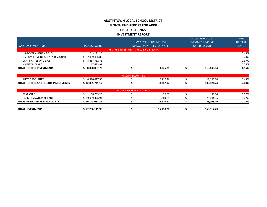### **AUSTINTOWN LOCAL SCHOOL DISTRICT MONTH END REPORT FOR APRIL FISCAL YEAR 2022 INVESTMENT REPORT**

FISCAL YEAR 2022

| <b>TOTAL REDTREE INVESTMENTS</b> | 8,058,087.73         |                                       | 3,075.71                         | 118.633.54               | 1.55%           |
|----------------------------------|----------------------|---------------------------------------|----------------------------------|--------------------------|-----------------|
| <b>MONEY MARKET</b>              | 17.635.91            |                                       |                                  |                          | 0.24%           |
| <b>CERTIFICATES OF DEPOSIT</b>   | 3,457,762.75         |                                       |                                  |                          | 2.37%           |
| US GOVERNMENT AGENCY DISCOUNT    | 2,839,406.82         |                                       |                                  |                          | 0.74%           |
| US GOVERNMENT AGENCY             | 1,743,282.25         |                                       |                                  |                          | 0.44%           |
|                                  |                      | REDTREE INVESTMENTS HELD BY U.S. BANK |                                  |                          |                 |
| <b>BANK INVESTMENT TYPE</b>      | <b>BALANCE VALUE</b> |                                       | <b>MANAGEMENT FEES FOR APRIL</b> | POSTED TO DATE           | <b>RATE</b>     |
|                                  |                      |                                       | <b>INVESTMENT INCOME LESS</b>    | <b>INVESTMENT INCOME</b> | <b>INTEREST</b> |
|                                  |                      |                                       |                                  | <b>FISCAL YEAR 2022</b>  | <b>APRIL</b>    |

|                                                   |               | IRITIES<br><b>HIII</b> |          |                     |       |
|---------------------------------------------------|---------------|------------------------|----------|---------------------|-------|
| <b>HILLTOP SECURITIES</b>                         | 1,810,017.53  |                        | 5,712.26 | ' 190 70<br>.190.70 | 0.43% |
| <b>TOTAL</b><br>L REDTREE AND HILLTOP INVESTMENTS | 12,885,741.17 |                        | 8,787.97 | 135.824.24          | 2.03% |

|                                    |                 | <b>MONEY MARKET ACCOUNTS</b> |           |            |       |
|------------------------------------|-----------------|------------------------------|-----------|------------|-------|
| <b>STAR OHIO</b>                   | 108,705.28      |                              | 25.62     | 89.14      | 0.07% |
| <b>FARMERS NATIONAL BANK</b>       | 19,039,326.94   |                              | 6.384.69  | 25.004.35  | 0.42% |
| <b>TOTAL MONEY MARKET ACCOUNTS</b> | 19,148,032.22 ( |                              | 6.410.31  | 25,093.49  | 0.74% |
|                                    |                 |                              |           |            |       |
| <b>TOTAL INVESTMENTS</b>           | វ 27,206,119.95 |                              | 15,198.28 | 160,917.73 |       |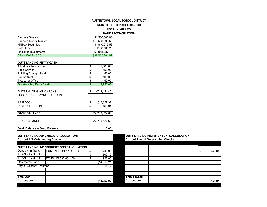# **AUSTINTOWN LOCAL SCHOOL DISTRICT**

**MONTH END REPORT FOR APRIL**

**FISCAL YEAR 2022**

**BANK RECONCILIATION**

| <b>Farmers Sweep</b>                                       |                | \$1,500,000.00  |  |  |  |  |
|------------------------------------------------------------|----------------|-----------------|--|--|--|--|
| <b>Farmers Money Market</b><br>\$18,508,893.53             |                |                 |  |  |  |  |
| <b>HillTop Securities</b>                                  | \$4,810,017.53 |                 |  |  |  |  |
| Star Ohio                                                  |                | \$108,705.28    |  |  |  |  |
| <b>Red Tree Investments</b>                                |                | \$8,058,087.73  |  |  |  |  |
| <b>BANK BALANCES</b>                                       |                | \$32,985,704.07 |  |  |  |  |
|                                                            |                |                 |  |  |  |  |
| <b>OUTSTANDING PETTY CASH</b>                              |                |                 |  |  |  |  |
| <b>Athletics Change Fund</b>                               | \$             | 5,000.00        |  |  |  |  |
| <b>Food Service</b>                                        | \$             | 550.00          |  |  |  |  |
| <b>Building Change Fund</b>                                | \$             | 50.00           |  |  |  |  |
| <b>Faclon Nest</b>                                         | \$             | 100.00          |  |  |  |  |
| <b>Treasurer Office</b>                                    | \$             | 50.00           |  |  |  |  |
| <b>Outstanding Petty Cash</b>                              | \$             | 5,750.00        |  |  |  |  |
| OUTSTANDING A/P CHECKS<br><b>OUSTANDING PAYROLL CHECKS</b> | \$             | (748,424.45)    |  |  |  |  |
| AP RECON                                                   | \$             | (12, 857.97)    |  |  |  |  |
| <b>PAYROLL RECON</b>                                       | \$             | 451.04          |  |  |  |  |
| <b>BANK BALANCE</b>                                        |                | 32,230,622.69   |  |  |  |  |
|                                                            |                |                 |  |  |  |  |
| <b>FUND BALANCE</b>                                        |                | 32,230,622.69   |  |  |  |  |
| <b>Bank Balance = Fund Balance</b>                         |                | 0.00            |  |  |  |  |
| <b>OUTSTANDING A/P CHECK CALCULATION:</b>                  |                |                 |  |  |  |  |

|                                       | OUTSTANDING AP CHECK CALCULATION:               |                | <b>OUTSTANDING PAYFOIL CHECK CALCULATION:</b> |                                           |  |        |  |  |  |  |  |
|---------------------------------------|-------------------------------------------------|----------------|-----------------------------------------------|-------------------------------------------|--|--------|--|--|--|--|--|
| <b>Current A/P Outstanding Checks</b> |                                                 |                |                                               | <b>Current Payroll Outstanding Checks</b> |  |        |  |  |  |  |  |
|                                       |                                                 |                |                                               |                                           |  |        |  |  |  |  |  |
|                                       | <b>OUTSTANDING A/P CORRECTIONS CALCULATION:</b> |                |                                               |                                           |  |        |  |  |  |  |  |
|                                       | Deposits in Transit   HUNTINGTON AND SERS       | \$<br>(740.00) |                                               |                                           |  | 451.04 |  |  |  |  |  |
| TITAN PAYMENTS                        |                                                 | 592.32         |                                               |                                           |  |        |  |  |  |  |  |
| TITAN PAYMENTS                        | PENDING 533.80, 459                             | 992.80         |                                               |                                           |  |        |  |  |  |  |  |
| Commerce Bank                         |                                                 | (14.518.21)    |                                               |                                           |  |        |  |  |  |  |  |
| <b>Payroll Account Transfer</b>       |                                                 | 815.12         |                                               |                                           |  |        |  |  |  |  |  |
|                                       |                                                 |                |                                               |                                           |  |        |  |  |  |  |  |
|                                       |                                                 |                |                                               |                                           |  |        |  |  |  |  |  |
| <b>Total A/P</b>                      |                                                 |                | <b>Total Payroll</b>                          |                                           |  |        |  |  |  |  |  |
| Corrections                           |                                                 | (12, 857.97)   | <b>Corrections</b>                            |                                           |  | 451.04 |  |  |  |  |  |

#### **OUTSTANDING Payroll CHECK CALCULATION:**

| <b>Current Payroll Outstanding Checks</b> |  |              |
|-------------------------------------------|--|--------------|
|                                           |  |              |
|                                           |  |              |
|                                           |  | \$<br>451.04 |
|                                           |  |              |
|                                           |  |              |
|                                           |  |              |
|                                           |  |              |
|                                           |  |              |
|                                           |  |              |
| <b>Total Payroll</b>                      |  |              |
| <b>Corrections</b>                        |  | 451.04       |
|                                           |  |              |